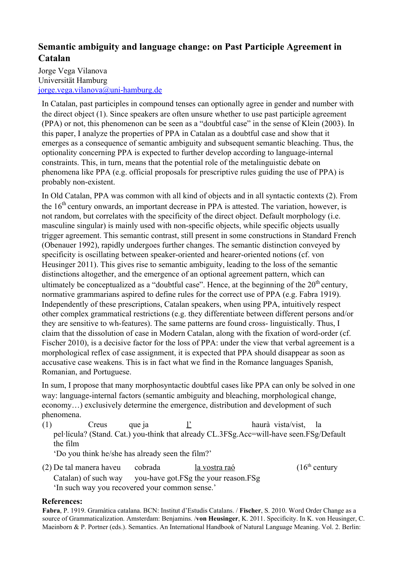## **Semantic ambiguity and language change: on Past Participle Agreement in Catalan**

## Jorge Vega Vilanova Universität Hamburg jorge.vega.vilanova@uni-hamburg.de

In Catalan, past participles in compound tenses can optionally agree in gender and number with the direct object (1). Since speakers are often unsure whether to use past participle agreement (PPA) or not, this phenomenon can be seen as a "doubtful case" in the sense of Klein (2003). In this paper, I analyze the properties of PPA in Catalan as a doubtful case and show that it emerges as a consequence of semantic ambiguity and subsequent semantic bleaching. Thus, the optionality concerning PPA is expected to further develop according to language-internal constraints. This, in turn, means that the potential role of the metalinguistic debate on phenomena like PPA (e.g. official proposals for prescriptive rules guiding the use of PPA) is probably non-existent.

In Old Catalan, PPA was common with all kind of objects and in all syntactic contexts (2). From the  $16<sup>th</sup>$  century onwards, an important decrease in PPA is attested. The variation, however, is not random, but correlates with the specificity of the direct object. Default morphology (i.e. masculine singular) is mainly used with non-specific objects, while specific objects usually trigger agreement. This semantic contrast, still present in some constructions in Standard French (Obenauer 1992), rapidly undergoes further changes. The semantic distinction conveyed by specificity is oscillating between speaker-oriented and hearer-oriented notions (cf. von Heusinger 2011). This gives rise to semantic ambiguity, leading to the loss of the semantic distinctions altogether, and the emergence of an optional agreement pattern, which can ultimately be conceptualized as a "doubtful case". Hence, at the beginning of the  $20<sup>th</sup>$  century, normative grammarians aspired to define rules for the correct use of PPA (e.g. Fabra 1919). Independently of these prescriptions, Catalan speakers, when using PPA, intuitively respect other complex grammatical restrictions (e.g. they differentiate between different persons and/or they are sensitive to wh-features). The same patterns are found cross-linguistically. Thus, I claim that the dissolution of case in Modern Catalan, along with the fixation of word-order (cf. Fischer 2010), is a decisive factor for the loss of PPA: under the view that verbal agreement is a morphological reflex of case assignment, it is expected that PPA should disappear as soon as accusative case weakens. This is in fact what we find in the Romance languages Spanish, Romanian, and Portuguese.

In sum, I propose that many morphosyntactic doubtful cases like PPA can only be solved in one way: language-internal factors (semantic ambiguity and bleaching, morphological change, economy…) exclusively determine the emergence, distribution and development of such phenomena.

(1) Creus que ja l' haurà vista/vist, la pel∙lícula? (Stand. Cat.) you-think that already CL.3FSg.Acc=will-have seen.FSg/Default the film 'Do you think he/she has already seen the film?'

(2) De tal manera haveu cobrada  $\frac{1a \text{ vostra ra\'o}}{2}$  (16<sup>th</sup> century Catalan) of such way you-have got.FSg the your reason.FSg 'In such way you recovered your common sense.'

## **References:**

**Fabra**, P. 1919. Gramàtica catalana. BCN: Institut d'Estudis Catalans. / **Fischer**, S. 2010. Word Order Change as a source of Grammaticalization. Amsterdam: Benjamins. /**von Heusinger**, K. 2011. Specificity. In K. von Heusinger, C. Maeinborn & P. Portner (eds.). Semantics. An International Handbook of Natural Language Meaning. Vol. 2. Berlin: